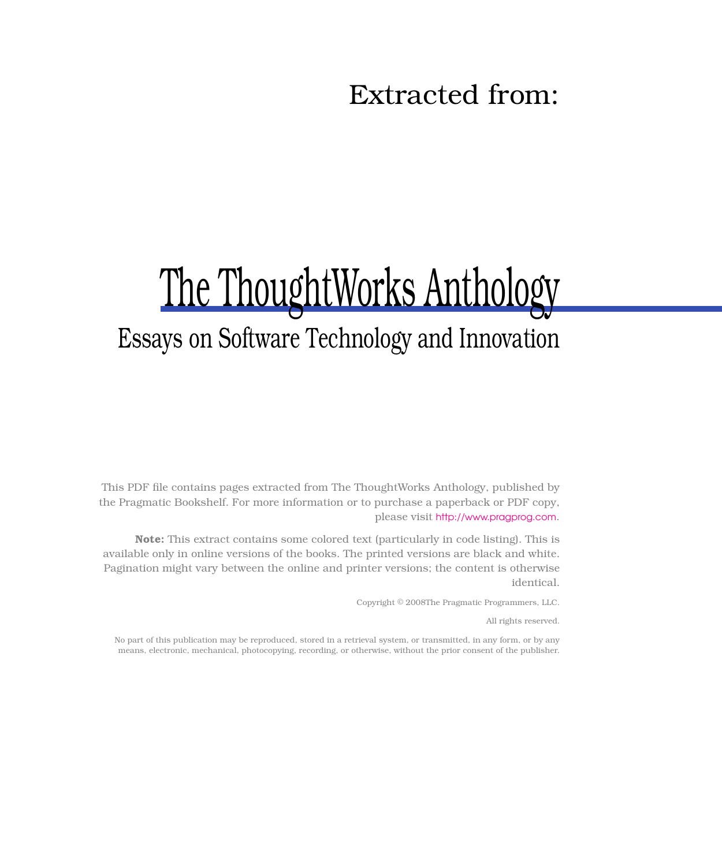### Extracted from:

# The ThoughtWorks Anthology

### Essays on Software Technology and Innovation

This PDF file contains pages extracted from The ThoughtWorks Anthology, published by the Pragmatic Bookshelf. For more information or to purchase a paperback or PDF copy, please visit <http://www.pragprog.com>.

**Note:** This extract contains some colored text (particularly in code listing). This is available only in online versions of the books. The printed versions are black and white. Pagination might vary between the online and printer versions; the content is otherwise identical.

Copyright © 2008The Pragmatic Programmers, LLC.

All rights reserved.

No part of this publication may be reproduced, stored in a retrieval system, or transmitted, in any form, or by any means, electronic, mechanical, photocopying, recording, or otherwise, without the prior consent of the publisher.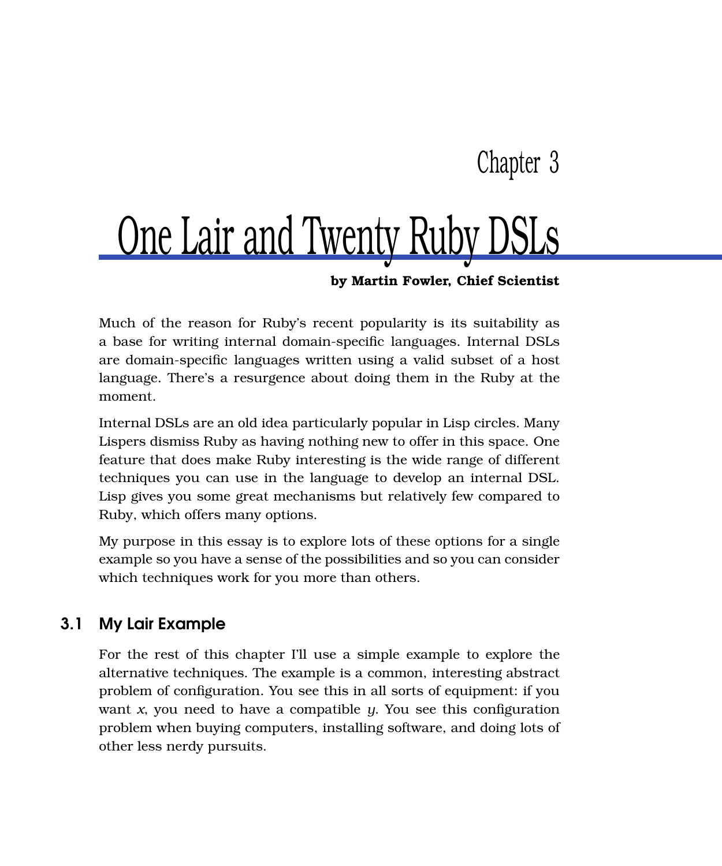### Chapter 3

# One Lair and Twenty Ruby DSLs

#### **by Martin Fowler, Chief Scientist**

Much of the reason for Ruby's recent popularity is its suitability as a base for writing internal domain-specific languages. Internal DSLs are domain-specific languages written using a valid subset of a host language. There's a resurgence about doing them in the Ruby at the moment.

Internal DSLs are an old idea particularly popular in Lisp circles. Many Lispers dismiss Ruby as having nothing new to offer in this space. One feature that does make Ruby interesting is the wide range of different techniques you can use in the language to develop an internal DSL. Lisp gives you some great mechanisms but relatively few compared to Ruby, which offers many options.

My purpose in this essay is to explore lots of these options for a single example so you have a sense of the possibilities and so you can consider which techniques work for you more than others.

#### 3.1 My Lair Example

For the rest of this chapter I'll use a simple example to explore the alternative techniques. The example is a common, interesting abstract problem of configuration. You see this in all sorts of equipment: if you want *x*, you need to have a compatible *y*. You see this configuration problem when buying computers, installing software, and doing lots of other less nerdy pursuits.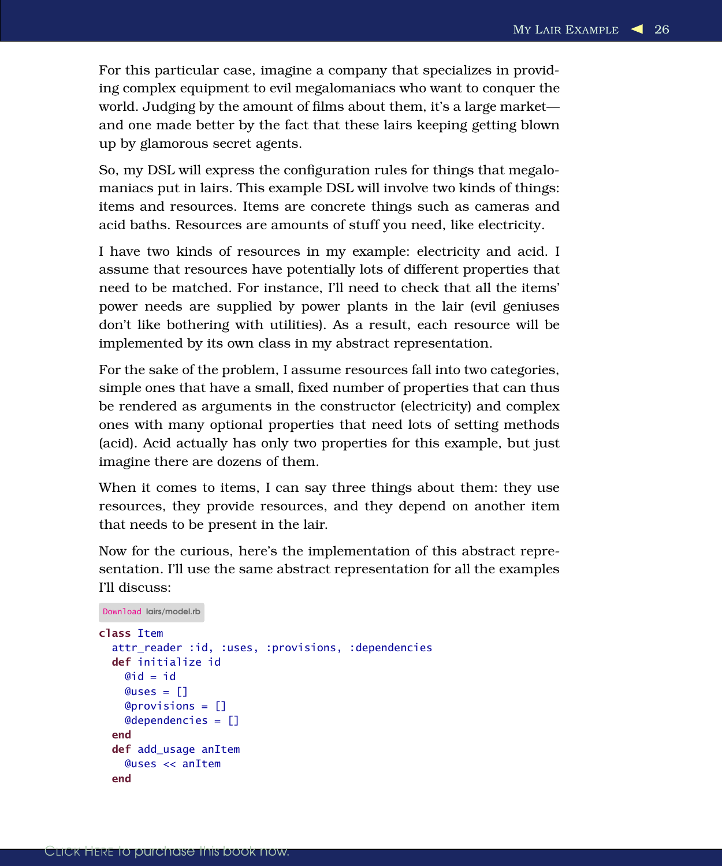For this particular case, imagine a company that specializes in providing complex equipment to evil megalomaniacs who want to conquer the world. Judging by the amount of films about them, it's a large market and one made better by the fact that these lairs keeping getting blown up by glamorous secret agents.

So, my DSL will express the configuration rules for things that megalomaniacs put in lairs. This example DSL will involve two kinds of things: items and resources. Items are concrete things such as cameras and acid baths. Resources are amounts of stuff you need, like electricity.

I have two kinds of resources in my example: electricity and acid. I assume that resources have potentially lots of different properties that need to be matched. For instance, I'll need to check that all the items' power needs are supplied by power plants in the lair (evil geniuses don't like bothering with utilities). As a result, each resource will be implemented by its own class in my abstract representation.

For the sake of the problem, I assume resources fall into two categories, simple ones that have a small, fixed number of properties that can thus be rendered as arguments in the constructor (electricity) and complex ones with many optional properties that need lots of setting methods (acid). Acid actually has only two properties for this example, but just imagine there are dozens of them.

When it comes to items, I can say three things about them: they use resources, they provide resources, and they depend on another item that needs to be present in the lair.

Now for the curious, here's the implementation of this abstract representation. I'll use the same abstract representation for all the examples I'll discuss:

```
Download lairs/model.rb
class Item
  attr_reader :id, :uses, :provisions, :dependencies
  def initialize id
    \thetaid = id
    Quses = []@provisions = []
    @dependencies = []
  end
  def add_usage anItem
    @uses << anItem
  end
```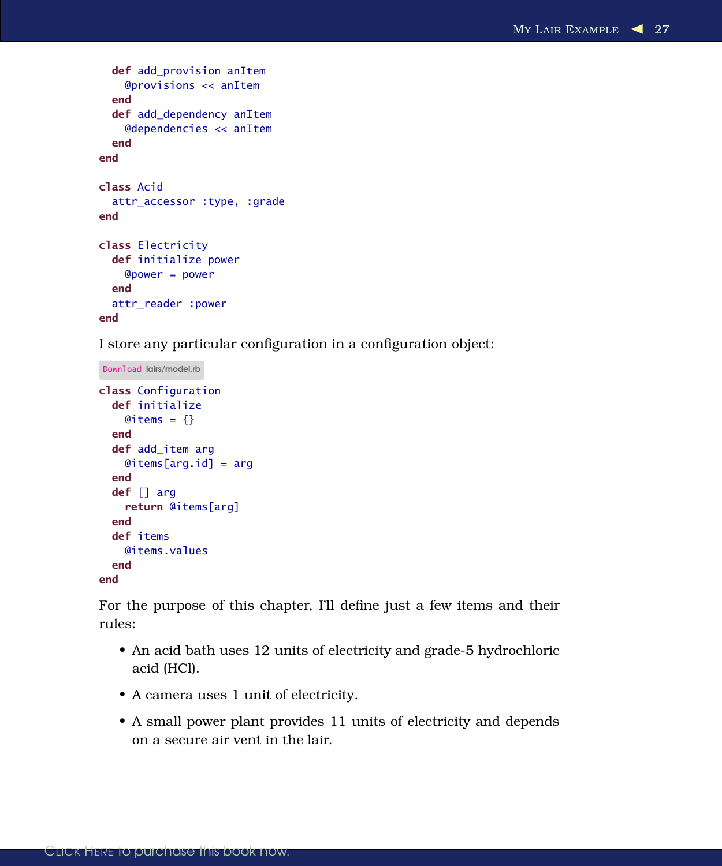```
def add provision anItem
    @provisions << anItem
 end
 def add_dependency anItem
    @dependencies << anItem
 end
end
class Acid
 attr_accessor :type, :grade
end
class Electricity
 def initialize power
   @power = power
 end
 attr_reader :power
end
```
I store any particular configuration in a configuration object:

Download [lairs/model.rb](http://media.pragprog.com/titles/twa/code/lairs/model.rb)

```
class Configuration
 def initialize
   @items = {}end
 def add_item arg
   @items[arq.id] = arq
 end
 def [] arg
    return @items[arg]
 end
 def items
   @items.values
 end
end
```
For the purpose of this chapter, I'll define just a few items and their rules:

- An acid bath uses 12 units of electricity and grade-5 hydrochloric acid (HCl).
- A camera uses 1 unit of electricity.
- A small power plant provides 11 units of electricity and depends on a secure air vent in the lair.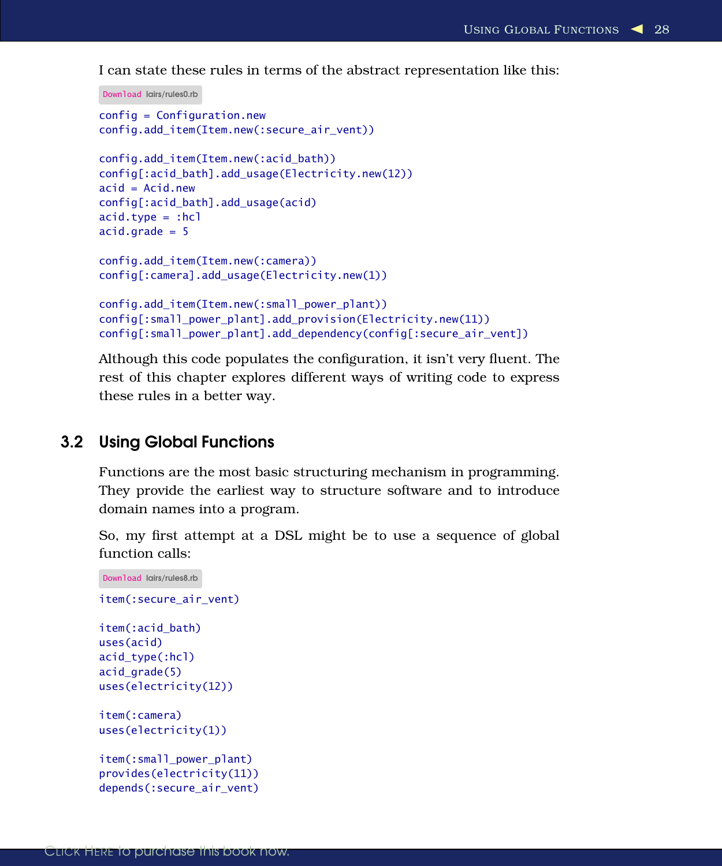I can state these rules in terms of the abstract representation like this:

```
Download lairs/rules0.rb
config = Configuration.new
config.add item(Item.new(:secure air vent))
config.add_item(Item.new(:acid_bath))
config[:acid_bath].add_usage(Electricity.new(12))
acid = Acid.newconfig[:acid_bath].add_usage(acid)
acid.type = :hclacid.qrade = 5config.add_item(Item.new(:camera))
config[:camera].add_usage(Electricity.new(1))
config.add_item(Item.new(:small_power_plant))
config[:small_power_plant].add_provision(Electricity.new(11))
config[:small_power_plant].add_dependency(config[:secure_air_vent])
```
Although this code populates the configuration, it isn't very fluent. The rest of this chapter explores different ways of writing code to express these rules in a better way.

#### 3.2 Using Global Functions

Functions are the most basic structuring mechanism in programming. They provide the earliest way to structure software and to introduce domain names into a program.

So, my first attempt at a DSL might be to use a sequence of global function calls:

```
Download lairs/rules8.rb
item(:secure_air_vent)
item(:acid_bath)
uses(acid)
acid_type(:hcl)
acid_grade(5)
uses(electricity(12))
item(:camera)
uses(electricity(1))
item(:small_power_plant)
provides(electricity(11))
depends(:secure_air_vent)
```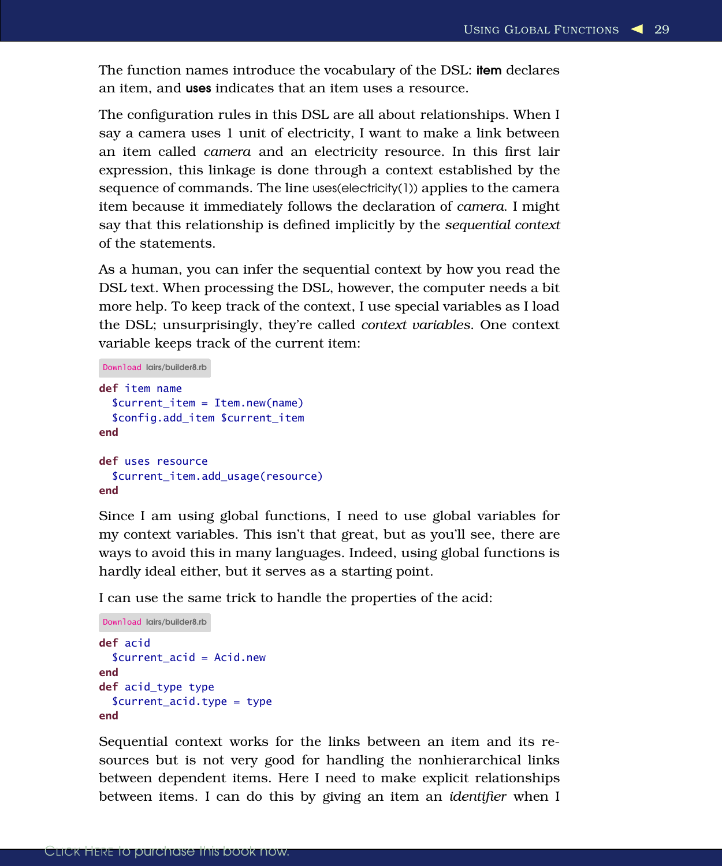The function names introduce the vocabulary of the DSL: **item** declares an item, and uses indicates that an item uses a resource.

The configuration rules in this DSL are all about relationships. When I say a camera uses 1 unit of electricity, I want to make a link between an item called *camera* and an electricity resource. In this first lair expression, this linkage is done through a context established by the sequence of commands. The line uses(electricity(1)) applies to the camera item because it immediately follows the declaration of *camera*. I might say that this relationship is defined implicitly by the *sequential context* of the statements.

As a human, you can infer the sequential context by how you read the DSL text. When processing the DSL, however, the computer needs a bit more help. To keep track of the context, I use special variables as I load the DSL; unsurprisingly, they're called *context variables*. One context variable keeps track of the current item:

```
Download lairs/builder8.rb
def item name
  $current_item = Item.new(name)
  $config.add_item $current_item
end
def uses resource
  $current_item.add_usage(resource)
end
```
Since I am using global functions, I need to use global variables for my context variables. This isn't that great, but as you'll see, there are ways to avoid this in many languages. Indeed, using global functions is hardly ideal either, but it serves as a starting point.

I can use the same trick to handle the properties of the acid:

```
Download lairs/builder8.rb
def acid
  $current_acid = Acid.new
end
def acid_type type
  $current_acid.type = type
end
```
Sequential context works for the links between an item and its resources but is not very good for handling the nonhierarchical links between dependent items. Here I need to make explicit relationships between items. I can do this by giving an item an *identifier* when I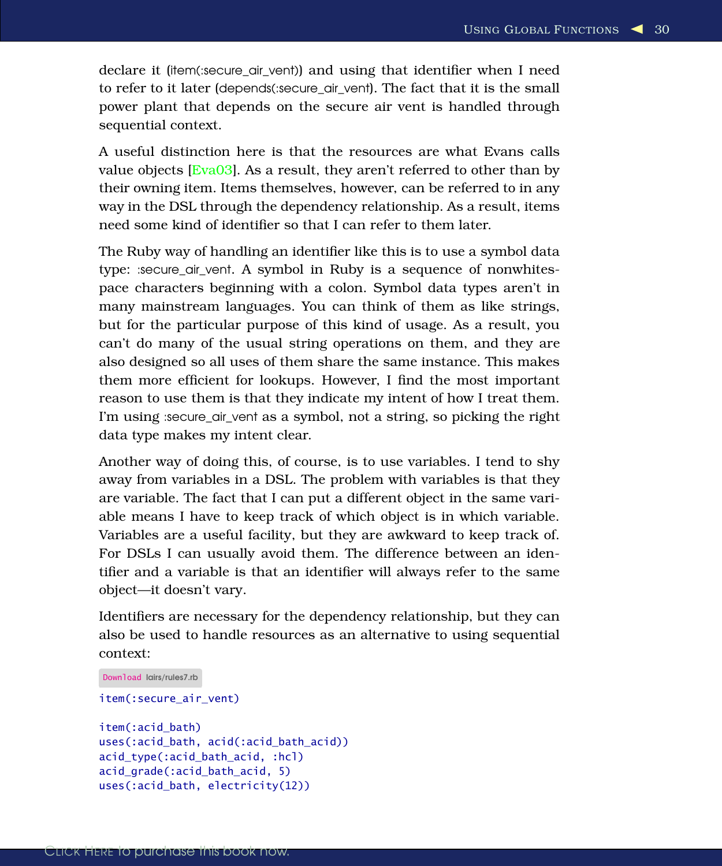declare it (item(:secure\_air\_vent)) and using that identifier when I need to refer to it later (depends(:secure\_air\_vent). The fact that it is the small power plant that depends on the secure air vent is handled through sequential context.

A useful distinction here is that the resources are what Evans calls value objects [\[Eva03\]](#page--1-0). As a result, they aren't referred to other than by their owning item. Items themselves, however, can be referred to in any way in the DSL through the dependency relationship. As a result, items need some kind of identifier so that I can refer to them later.

The Ruby way of handling an identifier like this is to use a symbol data type: :secure\_air\_vent. A symbol in Ruby is a sequence of nonwhitespace characters beginning with a colon. Symbol data types aren't in many mainstream languages. You can think of them as like strings, but for the particular purpose of this kind of usage. As a result, you can't do many of the usual string operations on them, and they are also designed so all uses of them share the same instance. This makes them more efficient for lookups. However, I find the most important reason to use them is that they indicate my intent of how I treat them. I'm using secure oir vent as a symbol, not a string, so picking the right data type makes my intent clear.

Another way of doing this, of course, is to use variables. I tend to shy away from variables in a DSL. The problem with variables is that they are variable. The fact that I can put a different object in the same variable means I have to keep track of which object is in which variable. Variables are a useful facility, but they are awkward to keep track of. For DSLs I can usually avoid them. The difference between an identifier and a variable is that an identifier will always refer to the same object—it doesn't vary.

Identifiers are necessary for the dependency relationship, but they can also be used to handle resources as an alternative to using sequential context:

```
Download lairs/rules7.rb
```

```
item(:secure_air_vent)
```

```
item(:acid_bath)
uses(:acid_bath, acid(:acid_bath_acid))
acid_type(:acid_bath_acid, :hcl)
acid grade(:acid bath acid, 5)
uses(:acid_bath, electricity(12))
```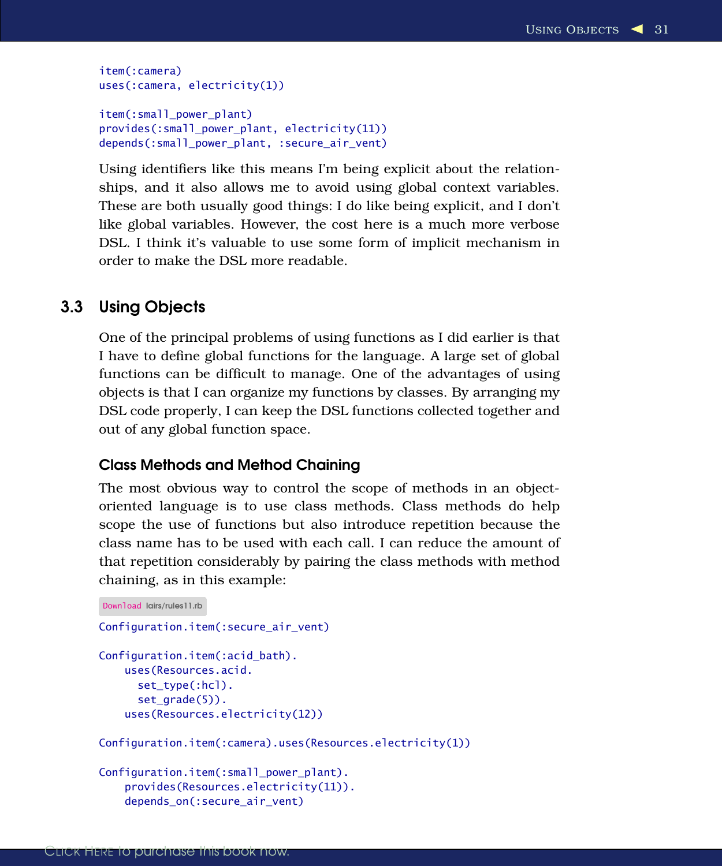```
item(:camera)
uses(:camera, electricity(1))
item(:small_power_plant)
provides(:small_power_plant, electricity(11))
depends(:small_power_plant, :secure_air_vent)
```
Using identifiers like this means I'm being explicit about the relationships, and it also allows me to avoid using global context variables. These are both usually good things: I do like being explicit, and I don't like global variables. However, the cost here is a much more verbose DSL. I think it's valuable to use some form of implicit mechanism in order to make the DSL more readable.

#### 3.3 Using Objects

One of the principal problems of using functions as I did earlier is that I have to define global functions for the language. A large set of global functions can be difficult to manage. One of the advantages of using objects is that I can organize my functions by classes. By arranging my DSL code properly, I can keep the DSL functions collected together and out of any global function space.

#### Class Methods and Method Chaining

The most obvious way to control the scope of methods in an objectoriented language is to use class methods. Class methods do help scope the use of functions but also introduce repetition because the class name has to be used with each call. I can reduce the amount of that repetition considerably by pairing the class methods with method chaining, as in this example:

```
Download lairs/rules11.rb
Configuration.item(:secure_air_vent)
Configuration.item(:acid_bath).
   uses(Resources.acid.
      set_type(:hcl).
      set_grade(5)).
    uses(Resources.electricity(12))
Configuration.item(:camera).uses(Resources.electricity(1))
Configuration.item(:small_power_plant).
    provides(Resources.electricity(11)).
    depends_on(:secure_air_vent)
```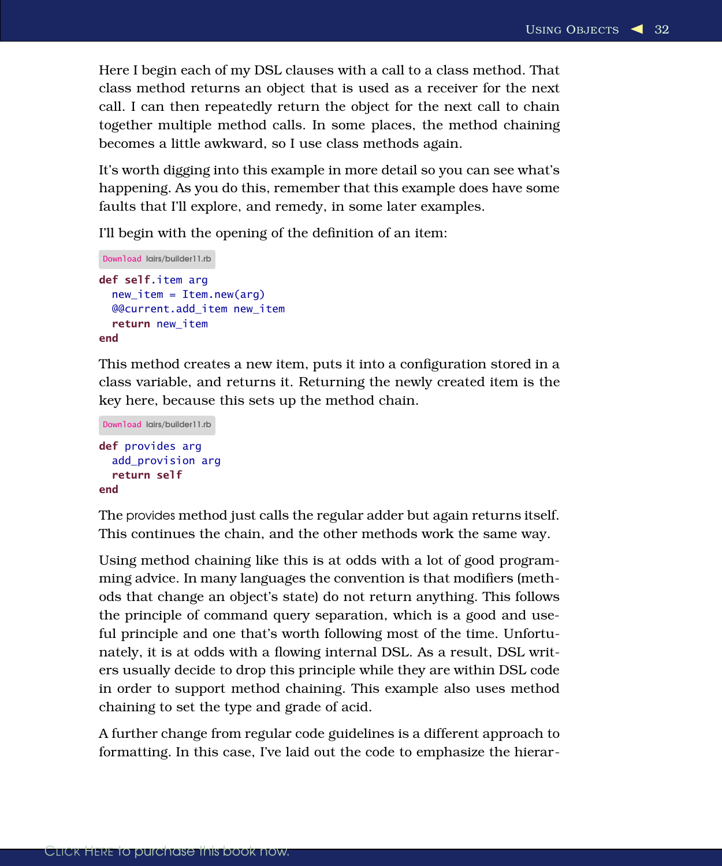Here I begin each of my DSL clauses with a call to a class method. That class method returns an object that is used as a receiver for the next call. I can then repeatedly return the object for the next call to chain together multiple method calls. In some places, the method chaining becomes a little awkward, so I use class methods again.

It's worth digging into this example in more detail so you can see what's happening. As you do this, remember that this example does have some faults that I'll explore, and remedy, in some later examples.

I'll begin with the opening of the definition of an item:

```
Download lairs/builder11.rb
def self.item arg
  new_item = Item.new(arg)
  @@current.add_item new_item
  return new_item
end
```
This method creates a new item, puts it into a configuration stored in a class variable, and returns it. Returning the newly created item is the key here, because this sets up the method chain.

```
Download lairs/builder11.rb
def provides arg
  add_provision arg
  return self
end
```
The provides method just calls the regular adder but again returns itself. This continues the chain, and the other methods work the same way.

Using method chaining like this is at odds with a lot of good programming advice. In many languages the convention is that modifiers (methods that change an object's state) do not return anything. This follows the principle of command query separation, which is a good and useful principle and one that's worth following most of the time. Unfortunately, it is at odds with a flowing internal DSL. As a result, DSL writers usually decide to drop this principle while they are within DSL code in order to support method chaining. This example also uses method chaining to set the type and grade of acid.

A further change from regular code guidelines is a different approach to formatting. In this case, I've laid out the code to emphasize the hierar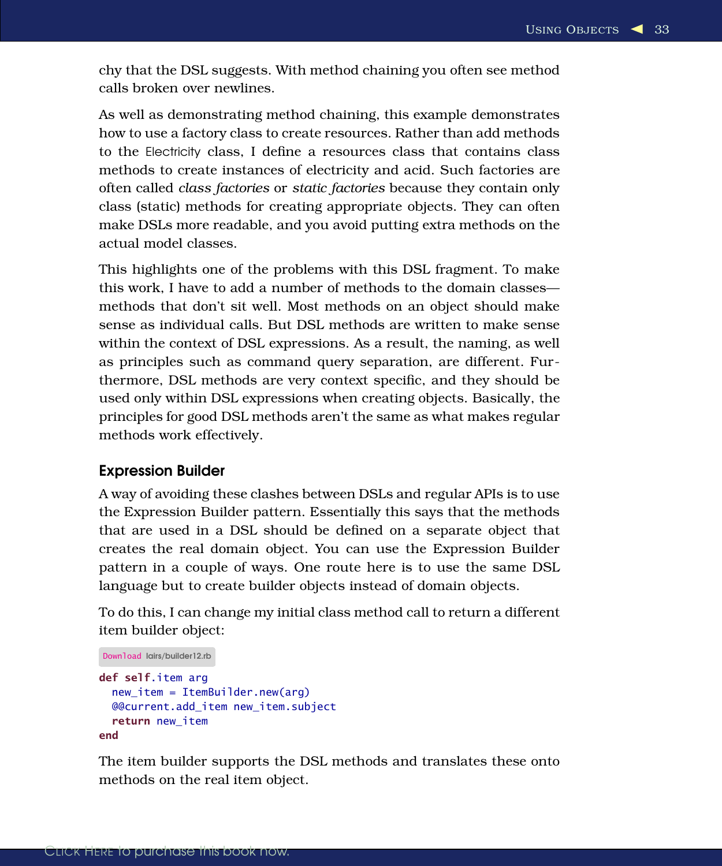chy that the DSL suggests. With method chaining you often see method calls broken over newlines.

As well as demonstrating method chaining, this example demonstrates how to use a factory class to create resources. Rather than add methods to the Electricity class, I define a resources class that contains class methods to create instances of electricity and acid. Such factories are often called *class factories* or *static factories* because they contain only class (static) methods for creating appropriate objects. They can often make DSLs more readable, and you avoid putting extra methods on the actual model classes.

This highlights one of the problems with this DSL fragment. To make this work, I have to add a number of methods to the domain classes methods that don't sit well. Most methods on an object should make sense as individual calls. But DSL methods are written to make sense within the context of DSL expressions. As a result, the naming, as well as principles such as command query separation, are different. Furthermore, DSL methods are very context specific, and they should be used only within DSL expressions when creating objects. Basically, the principles for good DSL methods aren't the same as what makes regular methods work effectively.

#### Expression Builder

A way of avoiding these clashes between DSLs and regular APIs is to use the Expression Builder pattern. Essentially this says that the methods that are used in a DSL should be defined on a separate object that creates the real domain object. You can use the Expression Builder pattern in a couple of ways. One route here is to use the same DSL language but to create builder objects instead of domain objects.

To do this, I can change my initial class method call to return a different item builder object:

```
Download lairs/builder12.rb
def self.item arg
  new_item = ItemBuilder.new(arg)
  @@current.add_item new_item.subject
  return new_item
end
```
The item builder supports the DSL methods and translates these onto methods on the real item object.